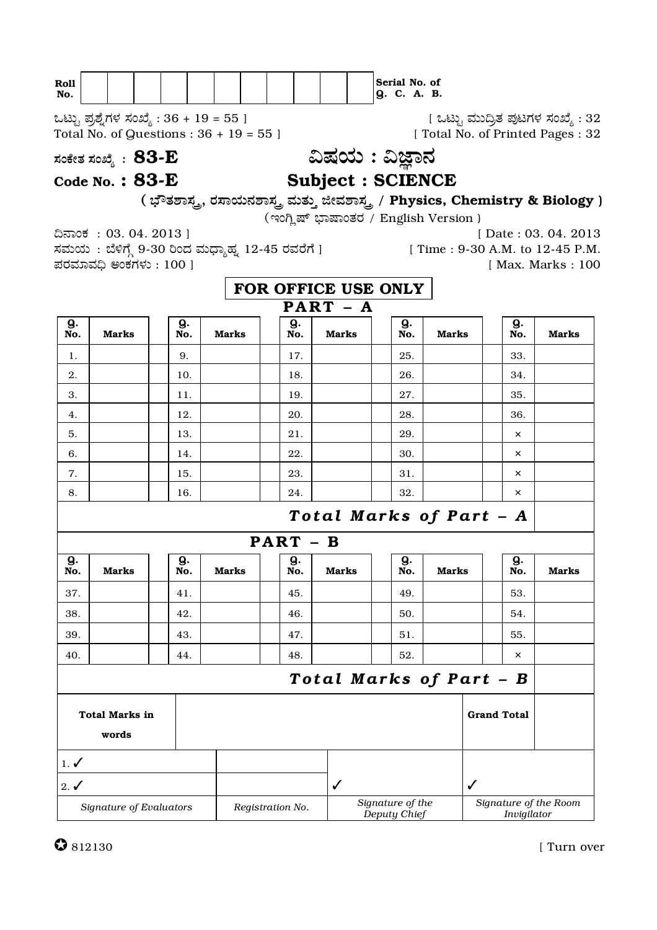| <b>Roll</b> |  |  |  |  |  | Serial No. of |  |    |
|-------------|--|--|--|--|--|---------------|--|----|
| NO.         |  |  |  |  |  | IQ. C. A.     |  | в. |

ಒಟ್ಟು ಪ್ರಶ್ನೆಗಳ ಸಂಖ್ಯೆ : 36 + 19 = 55 ] Total No. of Questions :  $36 + 19 = 55$ ]

[ ಒಟ್ಟು ಮುದ್ರಿತ ಪುಟಗಳ ಸಂಖ್ಯೆ : 32<br>Total No. of Printed Pages : 32 |

ಸಂಕೇತ ಸಂಖ್ಯೆ :  $83$ - $E$ 

Code No.:  $83-E$ 

ವಿಷಯ : ವಿಜ್ಞಾನ

# **Subject : SCIENCE**

( ಭೌತಶಾಸ್ತ್ರ, ರಸಾಯನಶಾಸ್ತ್ರ ಮತ್ತು ಜೀವಶಾಸ್ತ್ರ / Physics, Chemistry & Biology )

(ಇಂಗ್ಲಿಷ್ ಭಾಷಾಂತರ / English Version)

ದಿನಾಂಕ: 03.04.2013 ] ಸಮಯ: ಬೆಳಿಗ್ಗೆ 9-30 ರಿಂದ ಮಧ್ಯಾಹ್ನ 12-45 ರವರೆಗೆ ] ಪರಮಾವಧಿ ಅಂಕಗಳು : 100 ]

[Date: 03. 04. 2013] [ Time: 9-30 A.M. to 12-45 P.M.

[ Max. Marks : 100

FOR OFFICE USE ONLY  $\overline{PART - A}$ g. Q.  $\mathbf Q$ .  $\mathbf{Q}$ . Q. No. **Marks** No. **Marks** No. **Marks** No. **Marks** No. **Marks** 9. 17. 25. 33.  $\mathbf{1}$ . 18. 2. 10. 26. 34. 19. 27. 3.  $11.$ 35  $\overline{4}$ . 12. 20. 28. 36. 5. 13. 21. 29.  $\times$ 22. 30. 6. 14.  $\times$ 7. 15. 23. 31.  $\times$ 32.  $\bar{\mathsf{x}}$ 8. 16. 24. Total Marks of Part - A  $PART - B$  $\mathbf{Q}$ .  $Q_{\cdot}$  $\mathbf{Q}$  $\mathbf{Q}$ .  $\mathbf{Q}$ . **Marks Marks Marks Marks Marks** No. No. No. No. No. 37. 45. 49. 53. 41. 38. 42. 46. 50. 54.  $51.$ 55. 39. 43. 47.  $\bar{\mathsf{x}}$  $44.$ 48. 52.  $40<sup>2</sup>$ Total Marks of Part - B **Grand Total Total Marks in** words  $1. \checkmark$  $\checkmark$  $2. \checkmark$ Signature of the Signature of the Room Signature of Evaluators Registration No. Invigilator Deputy Chief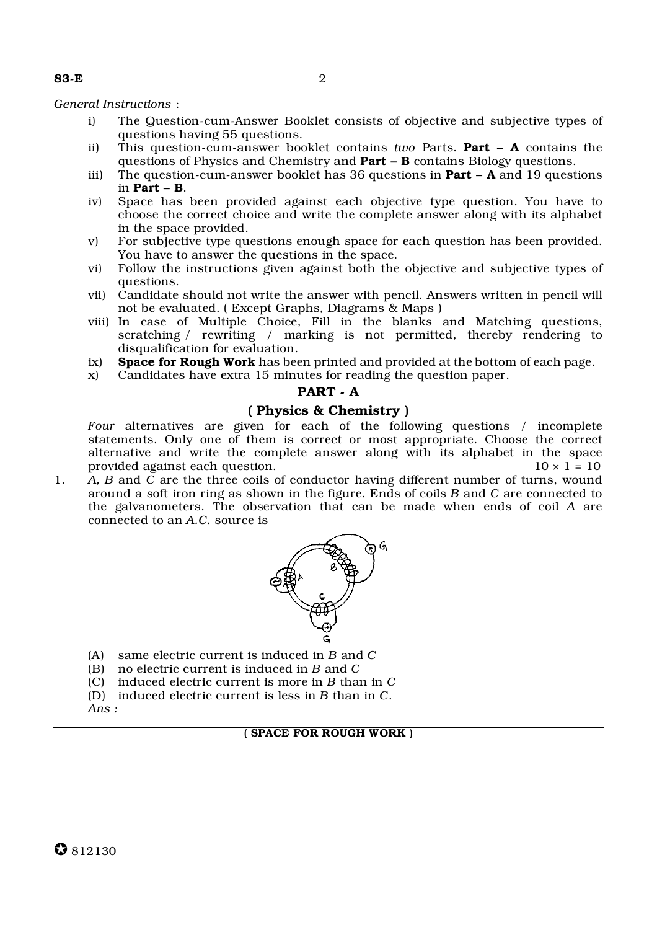#### *General Instructions* :

- i) The Question-cum-Answer Booklet consists of objective and subjective types of questions having 55 questions.
- ii) This question-cum-answer booklet contains *two* Parts. Part A contains the questions of Physics and Chemistry and **Part – B** contains Biology questions.
- iii) The question-cum-answer booklet has 36 questions in **Part A** and 19 questions in Part – B.
- iv) Space has been provided against each objective type question. You have to choose the correct choice and write the complete answer along with its alphabet in the space provided.
- v) For subjective type questions enough space for each question has been provided. You have to answer the questions in the space.
- vi) Follow the instructions given against both the objective and subjective types of questions.
- vii) Candidate should not write the answer with pencil. Answers written in pencil will not be evaluated. ( Except Graphs, Diagrams & Maps )
- viii) In case of Multiple Choice, Fill in the blanks and Matching questions, scratching / rewriting / marking is not permitted, thereby rendering to disqualification for evaluation.
- ix) Space for Rough Work has been printed and provided at the bottom of each page.
- x) Candidates have extra 15 minutes for reading the question paper.

## PART - A

## ( Physics & Chemistry )

*Four* alternatives are given for each of the following questions / incomplete statements. Only one of them is correct or most appropriate. Choose the correct alternative and write the complete answer along with its alphabet in the space provided against each question.  $10 \times 1 = 10$ 

1. *A, B* and *C* are the three coils of conductor having different number of turns, wound around a soft iron ring as shown in the figure. Ends of coils *B* and *C* are connected to the galvanometers. The observation that can be made when ends of coil *A* are connected to an *A.C.* source is



- (A) same electric current is induced in *B* and *C*
- (B) no electric current is induced in *B* and *C*
- (C) induced electric current is more in *B* than in *C*
- (D) induced electric current is less in *B* than in *C*.
- *Ans :*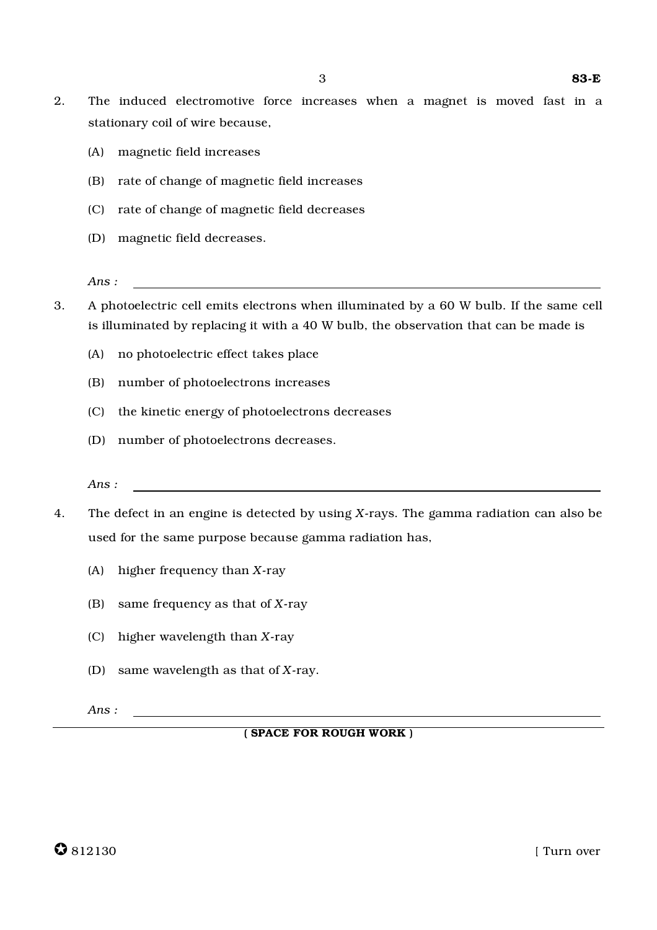- 2. The induced electromotive force increases when a magnet is moved fast in a stationary coil of wire because,
	- (A) magnetic field increases
	- (B) rate of change of magnetic field increases
	- (C) rate of change of magnetic field decreases
	- (D) magnetic field decreases.
	- *Ans :*
- 3. A photoelectric cell emits electrons when illuminated by a 60 W bulb. If the same cell is illuminated by replacing it with a 40 W bulb, the observation that can be made is
	- (A) no photoelectric effect takes place
	- (B) number of photoelectrons increases
	- (C) the kinetic energy of photoelectrons decreases
	- (D) number of photoelectrons decreases.
	- *Ans :*
- 4. The defect in an engine is detected by using *X*-rays. The gamma radiation can also be used for the same purpose because gamma radiation has,
	- (A) higher frequency than *X*-ray
	- (B) same frequency as that of *X*-ray
	- (C) higher wavelength than *X*-ray
	- (D) same wavelength as that of *X*-ray.

*Ans :*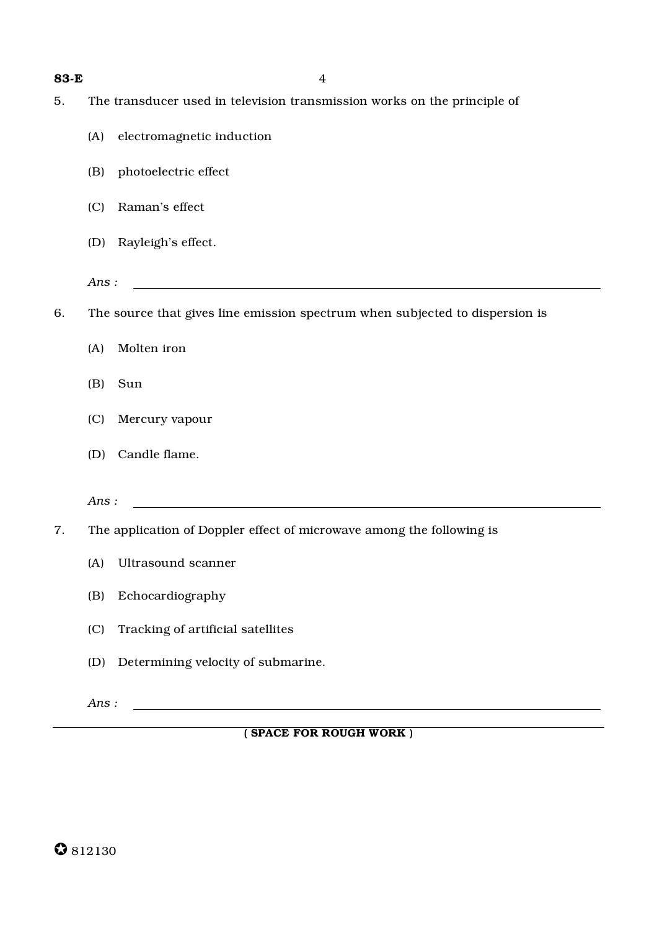| 83-E | 4                                                                            |
|------|------------------------------------------------------------------------------|
| 5.   | The transducer used in television transmission works on the principle of     |
|      | electromagnetic induction<br>(A)                                             |
|      | photoelectric effect<br>(B)                                                  |
|      | (C) Raman's effect                                                           |
|      | (D) Rayleigh's effect.                                                       |
|      | Ans:                                                                         |
| 6.   | The source that gives line emission spectrum when subjected to dispersion is |
|      | Molten iron<br>(A)                                                           |
|      | (B)<br>Sun                                                                   |
|      | (C)<br>Mercury vapour                                                        |
|      | (D) Candle flame.                                                            |
|      | Ans:                                                                         |
| 7.   | The application of Doppler effect of microwave among the following is        |
|      | (A) Ultrasound scanner                                                       |
|      | Echocardiography<br>(B)                                                      |
|      | (C)<br>Tracking of artificial satellites                                     |
|      | Determining velocity of submarine.<br>(D)                                    |

*Ans :*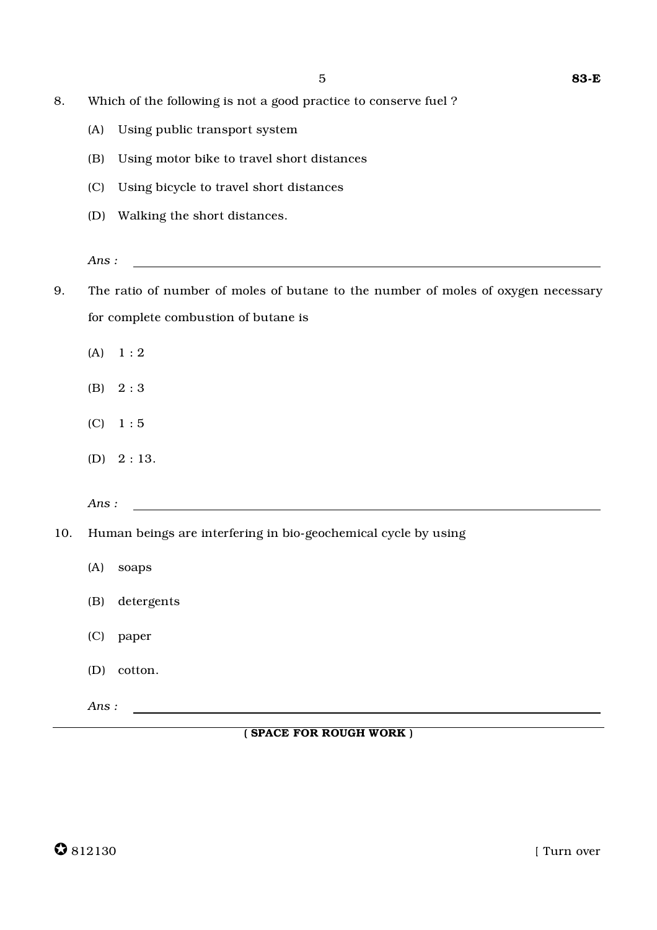- 8. Which of the following is not a good practice to conserve fuel ?
	- (A) Using public transport system
	- (B) Using motor bike to travel short distances
	- (C) Using bicycle to travel short distances
	- (D) Walking the short distances.
	- *Ans :*
- 9. The ratio of number of moles of butane to the number of moles of oxygen necessary for complete combustion of butane is
	- $(A) \quad 1 : 2$
	- (B) 2 : 3
	- (C) 1 : 5
	- (D) 2 : 13.

*Ans :*

- 10. Human beings are interfering in bio-geochemical cycle by using
	- (A) soaps (B) detergents
	- (C) paper
	- (D) cotton.

```
Ans :
```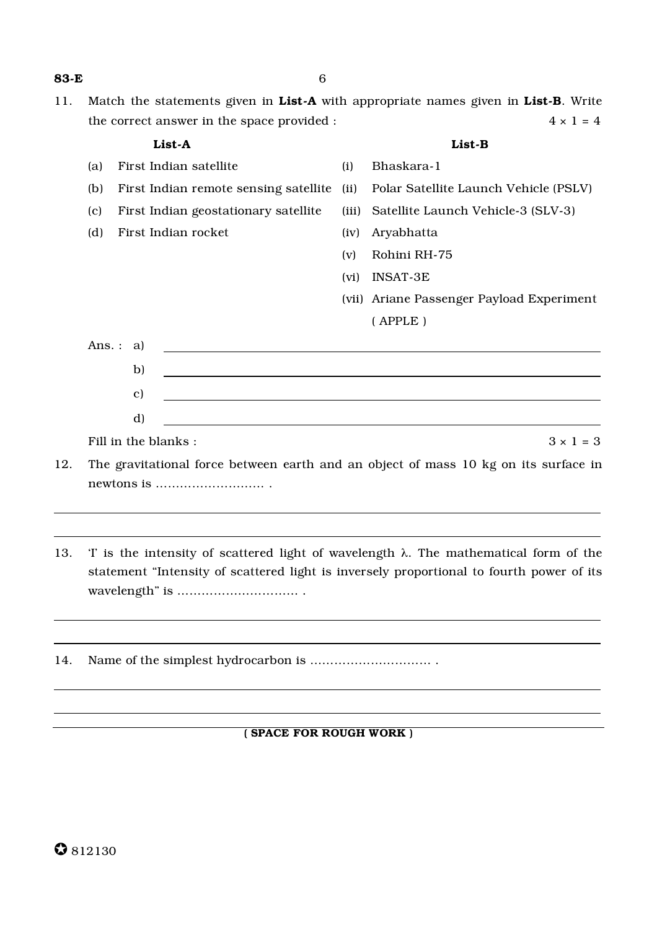11. Match the statements given in List-A with appropriate names given in List-B. Write the correct answer in the space provided :  $4 \times 1 = 4$ 

|        | List-A                                |       | List-B                                                                              |
|--------|---------------------------------------|-------|-------------------------------------------------------------------------------------|
| (a)    | First Indian satellite                | (i)   | Bhaskara-1                                                                          |
| (b)    | First Indian remote sensing satellite | (ii)  | Polar Satellite Launch Vehicle (PSLV)                                               |
| (c)    | First Indian geostationary satellite  | (iii) | Satellite Launch Vehicle-3 (SLV-3)                                                  |
| (d)    | First Indian rocket                   | (iv)  | Aryabhatta                                                                          |
|        |                                       | (v)   | Rohini RH-75                                                                        |
|        |                                       | (vi)  | <b>INSAT-3E</b>                                                                     |
|        |                                       |       | (vii) Ariane Passenger Payload Experiment                                           |
|        |                                       |       | (APPLE)                                                                             |
| Ans. : | a)                                    |       |                                                                                     |
|        | b)                                    |       |                                                                                     |
|        | $\mathbf{c})$                         |       |                                                                                     |
|        | d)                                    |       |                                                                                     |
|        | Fill in the blanks:                   |       | $3 \times 1 = 3$                                                                    |
|        |                                       |       | The gravitational force between earth and an object of mass 10 kg on its surface in |

- 12. The gravitational force between earth and an object of mass 10 kg on its surface in newtons is ……………………… .
- 13. 'I' is the intensity of scattered light of wavelength λ. The mathematical form of the statement "Intensity of scattered light is inversely proportional to fourth power of its wavelength" is ………………………… .
- 14. Name of the simplest hydrocarbon is ………………………… .

## ( SPACE FOR ROUGH WORK )

## 83-E 6

✪ <sup>812130</sup>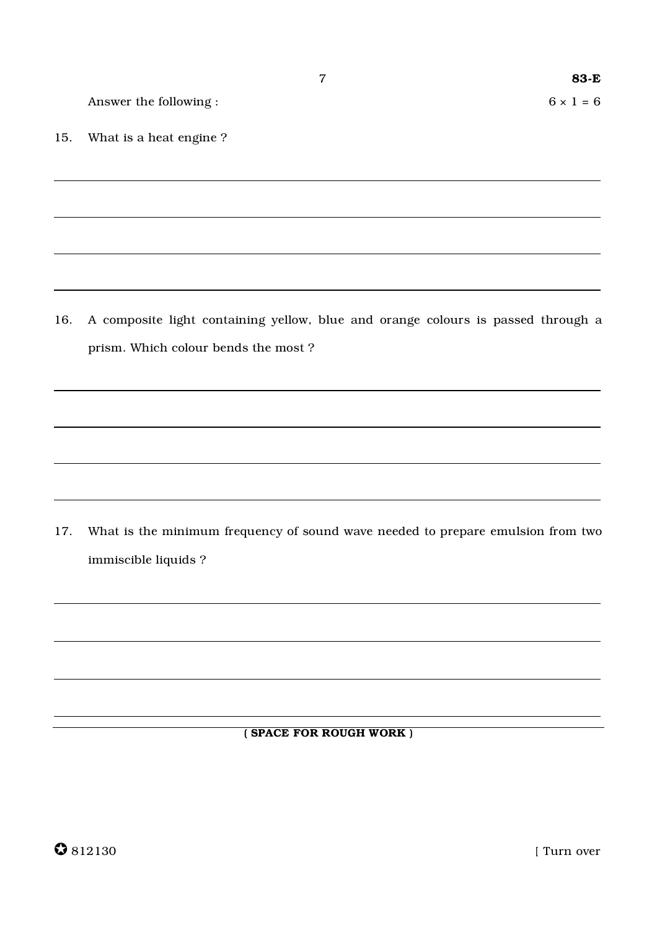Answer the following :  $6 \times 1 = 6$ 

15. What is a heat engine ?

16. A composite light containing yellow, blue and orange colours is passed through a prism. Which colour bends the most ?

17. What is the minimum frequency of sound wave needed to prepare emulsion from two immiscible liquids ?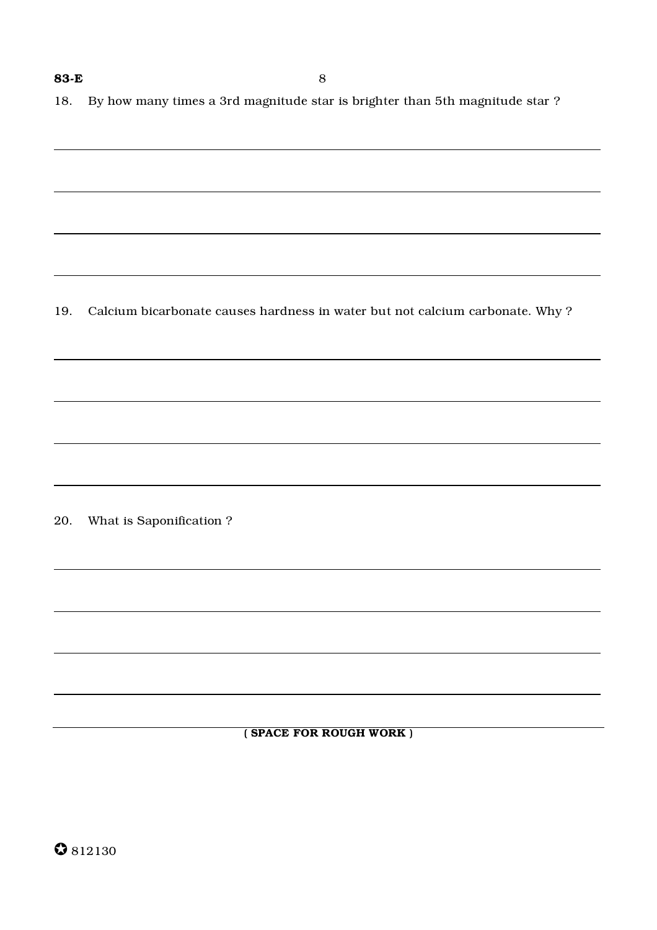18. By how many times a 3rd magnitude star is brighter than 5th magnitude star ?

19. Calcium bicarbonate causes hardness in water but not calcium carbonate. Why ?

20. What is Saponification ?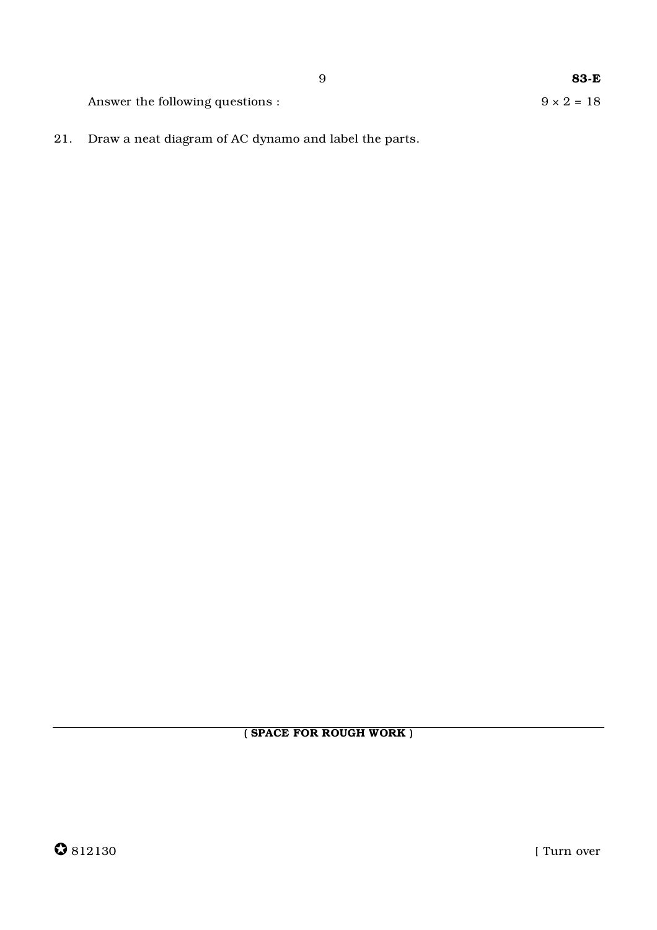Answer the following questions :

83-E  $9 \times 2 = 18$ 

21. Draw a neat diagram of AC dynamo and label the parts.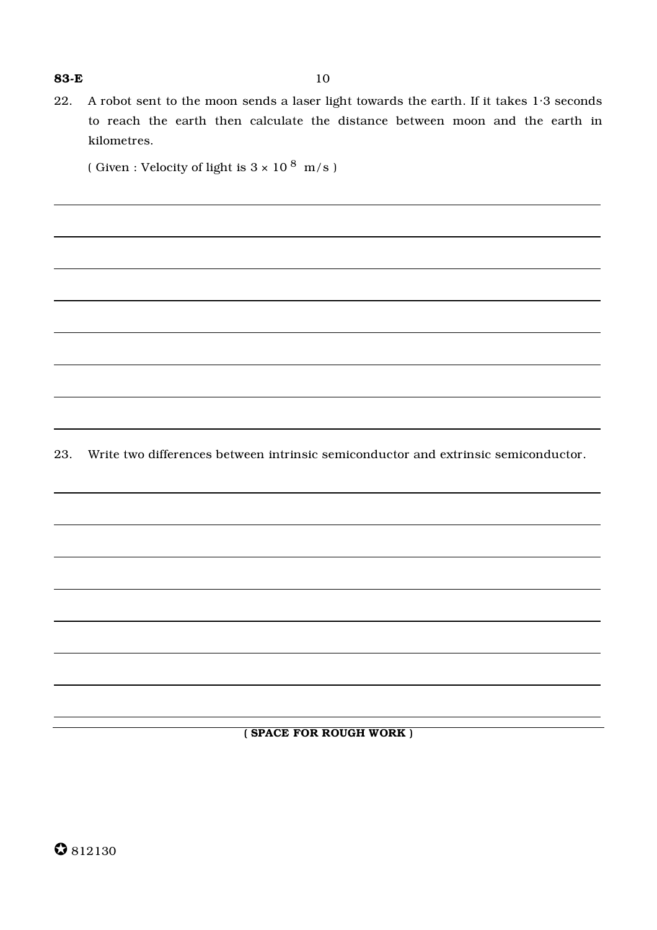22. A robot sent to the moon sends a laser light towards the earth. If it takes 1·3 seconds to reach the earth then calculate the distance between moon and the earth in kilometres.

( Given : Velocity of light is  $3 \times 10^8$  m/s )

23. Write two differences between intrinsic semiconductor and extrinsic semiconductor.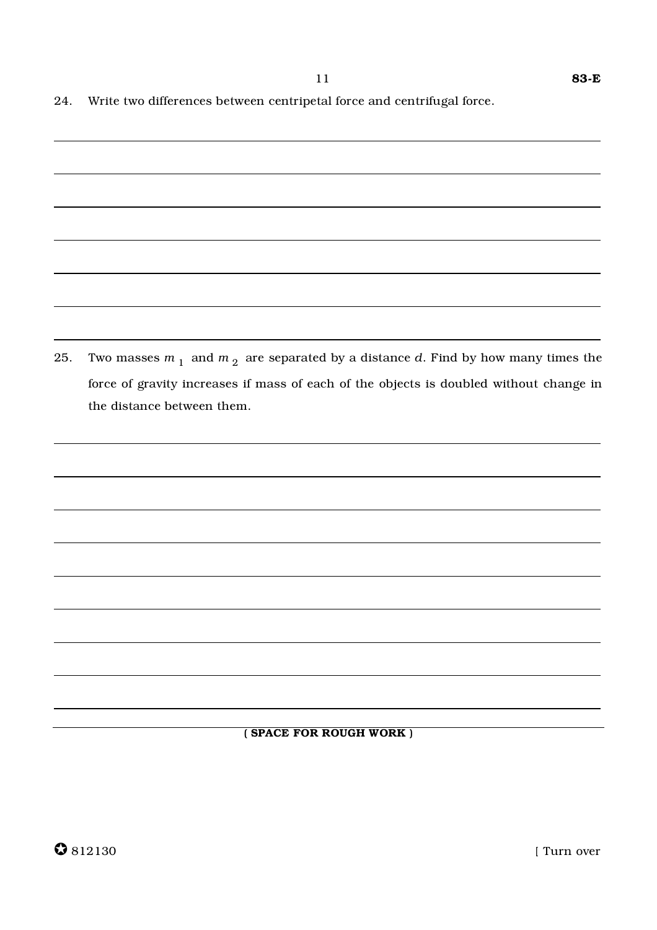|  |  |  | 24. Write two differences between centripetal force and centrifugal force. |  |
|--|--|--|----------------------------------------------------------------------------|--|
|  |  |  |                                                                            |  |

| 25. | Two masses $m_1$ and $m_2$ are separated by a distance d. Find by how many times the   |
|-----|----------------------------------------------------------------------------------------|
|     | force of gravity increases if mass of each of the objects is doubled without change in |
|     | the distance between them.                                                             |
|     |                                                                                        |
|     |                                                                                        |
|     |                                                                                        |
|     |                                                                                        |
|     |                                                                                        |
|     |                                                                                        |
|     |                                                                                        |
|     |                                                                                        |
|     |                                                                                        |
|     |                                                                                        |
|     |                                                                                        |
|     |                                                                                        |
|     | (SPACE FOR ROUGH WORK)                                                                 |
|     |                                                                                        |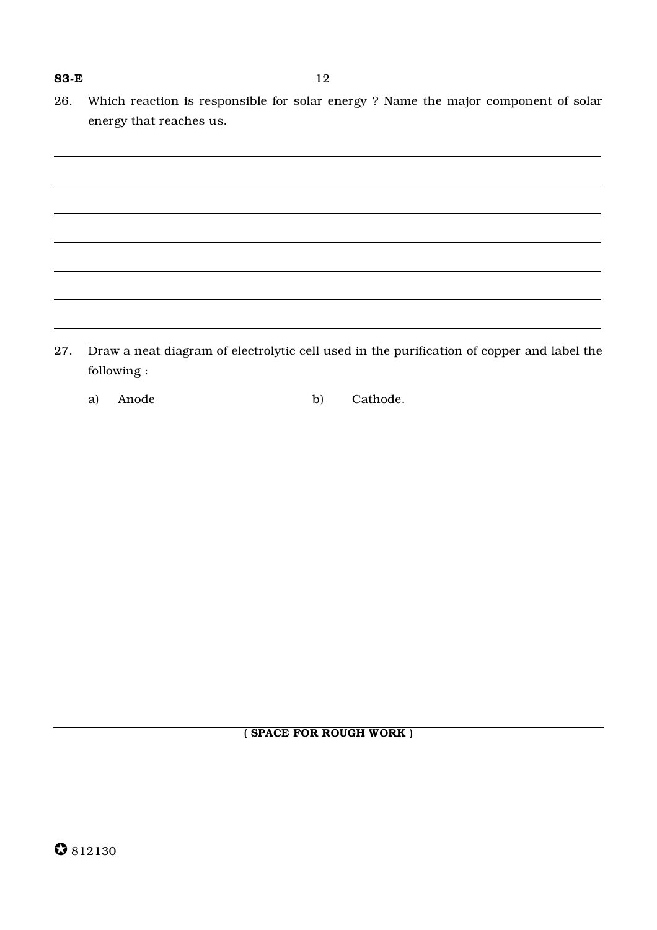26. Which reaction is responsible for solar energy ? Name the major component of solar energy that reaches us.

27. Draw a neat diagram of electrolytic cell used in the purification of copper and label the following :

a) Anode b) Cathode.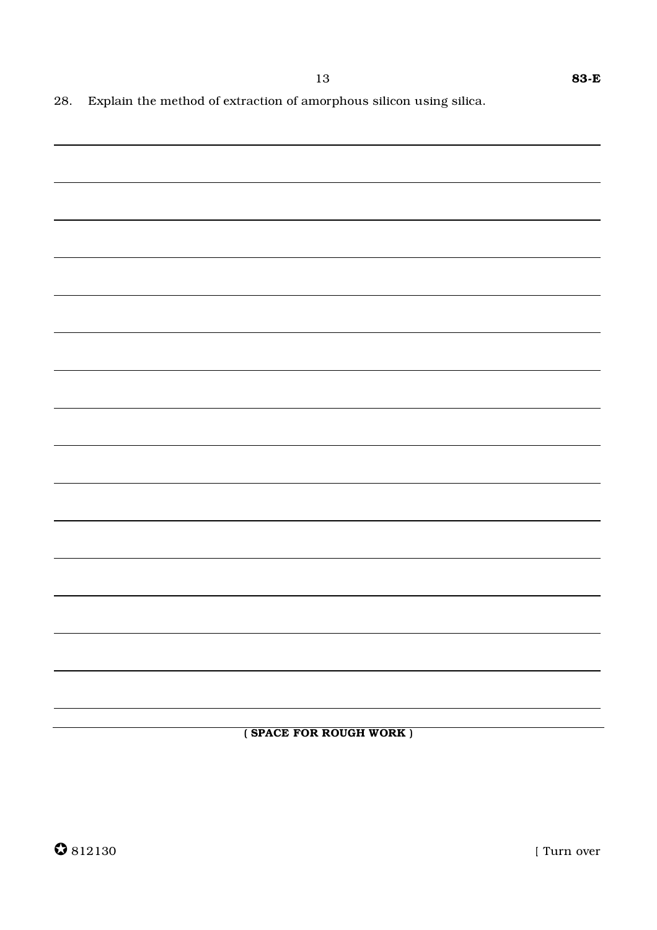13

(SPACE FOR ROUGH WORK)

[ Turn over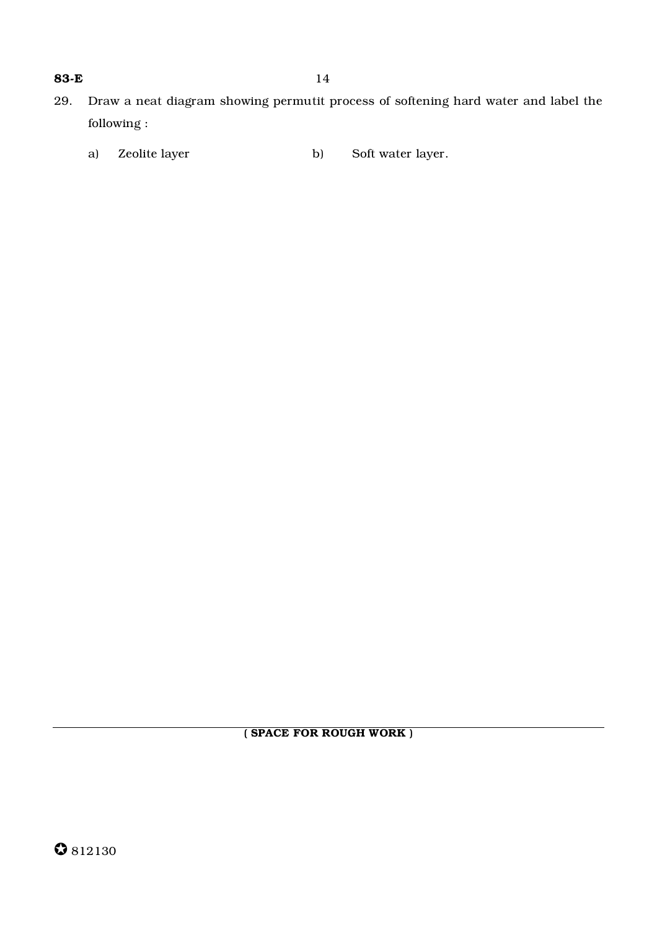- 29. Draw a neat diagram showing permutit process of softening hard water and label the following :
	- a) Zeolite layer b) Soft water layer.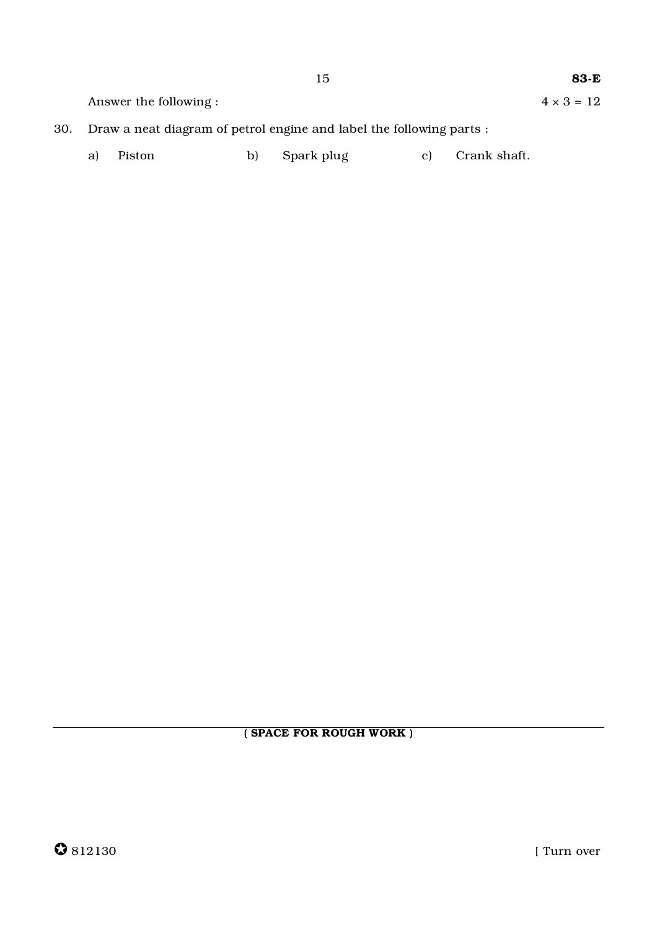$4 \times 3 = 12$ 

15

Answer the following:

- 30. Draw a neat diagram of petrol engine and label the following parts :
	- Spark plug Piston b) Crank shaft. a)  $\mathbf{c})$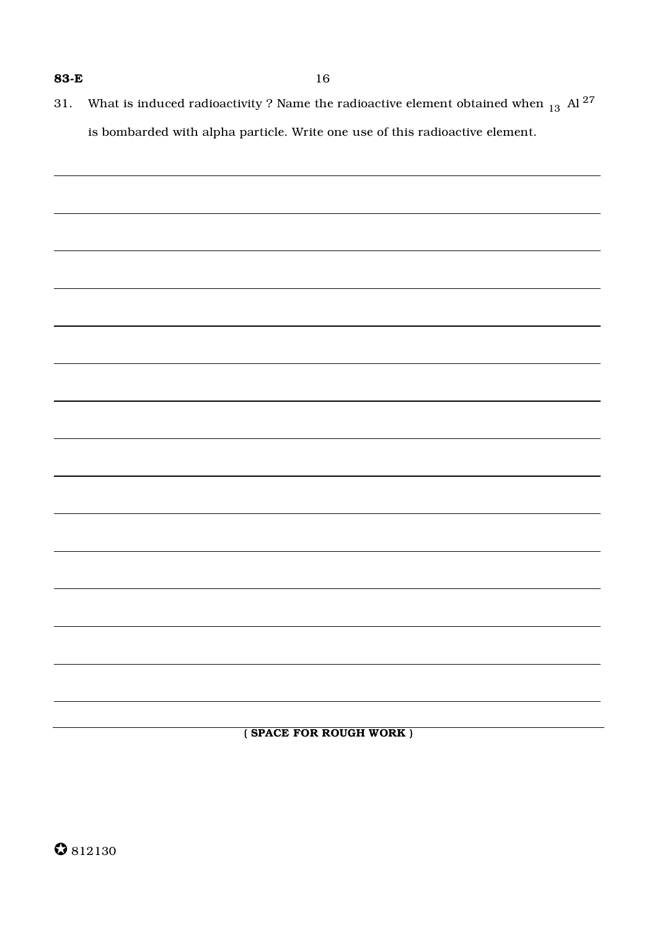31. What is induced radioactivity ? Name the radioactive element obtained when  $_{13}$  Al <sup>27</sup> is bombarded with alpha particle. Write one use of this radioactive element.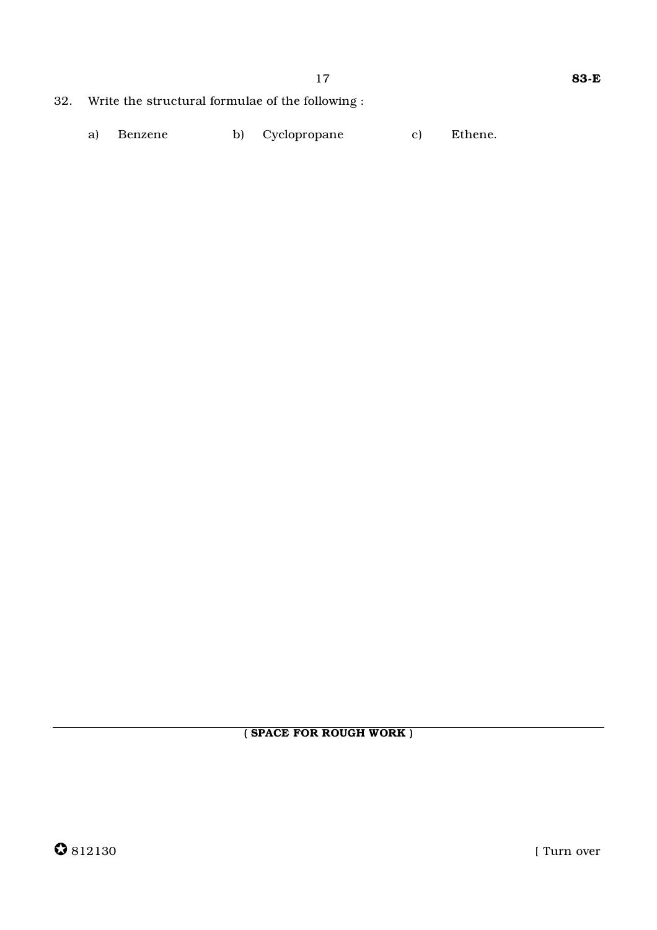- 32. Write the structural formulae of the following:
	- Cyclopropane c) Ethene. a) Benzene b)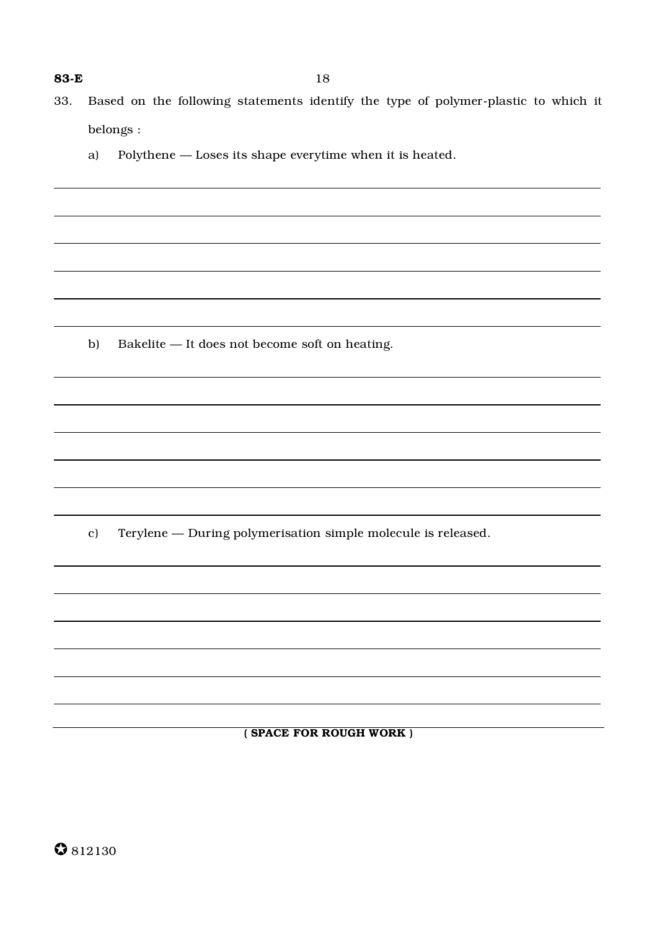- 33. Based on the following statements identify the type of polymer-plastic to which it belongs :
	- a) Polythene Loses its shape everytime when it is heated.

b) Bakelite — It does not become soft on heating.

c) Terylene — During polymerisation simple molecule is released.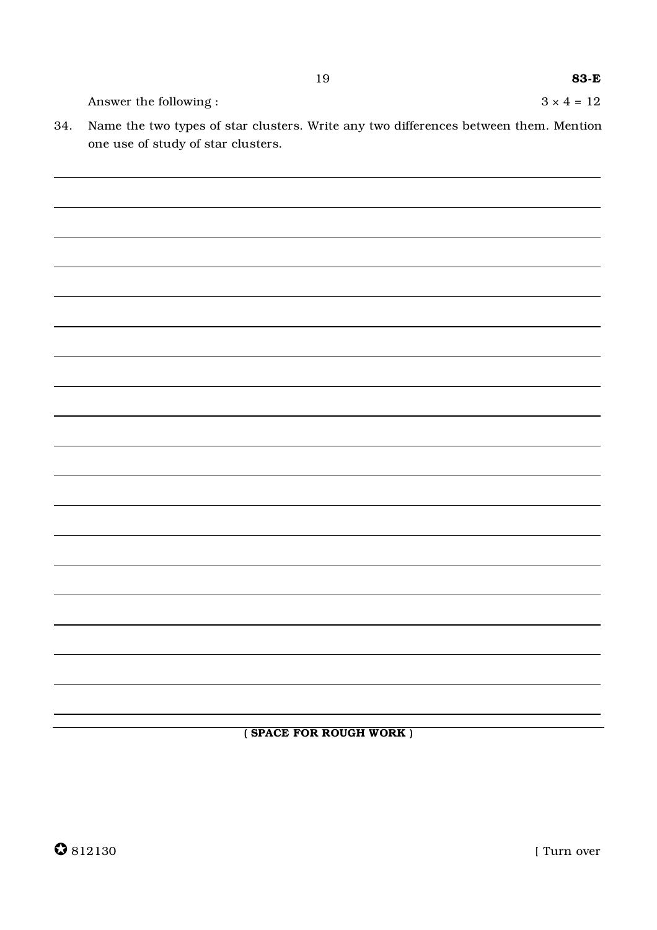Answer the following :  $3 \times 4 = 12$ 

34. Name the two types of star clusters. Write any two differences between them. Mention one use of study of star clusters.

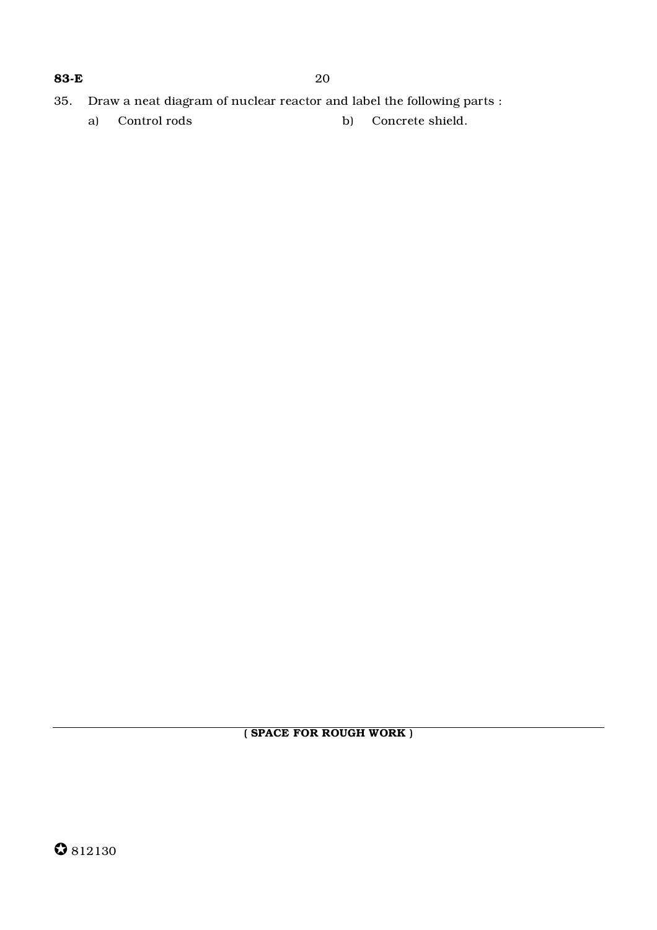- 35. Draw a neat diagram of nuclear reactor and label the following parts :
	- a) Control rods b) Concrete shield.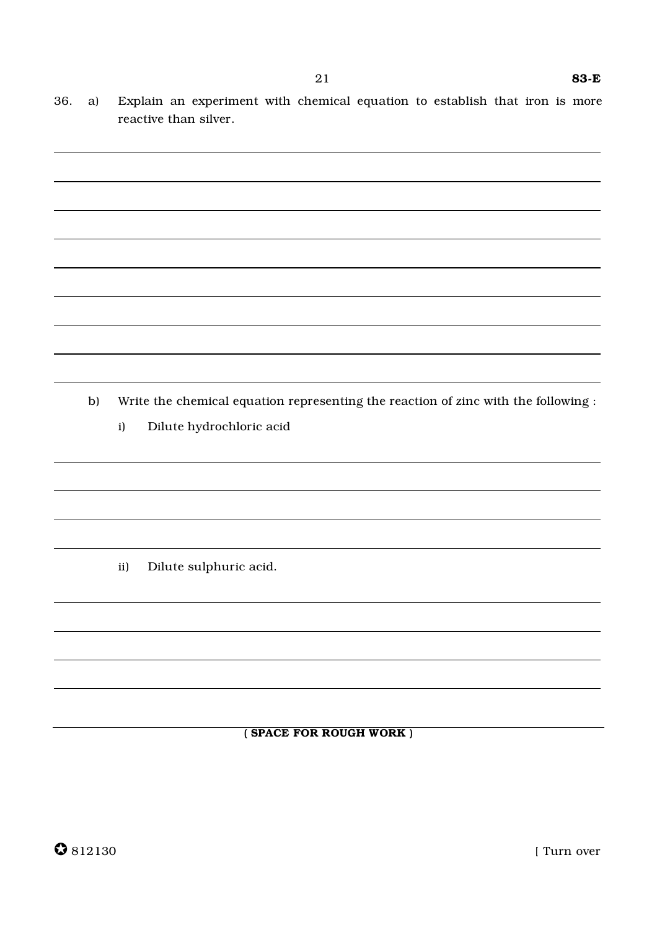- 36. a) Explain an experiment with chemical equation to establish that iron is more reactive than silver.
- b) Write the chemical equation representing the reaction of zinc with the following : i) Dilute hydrochloric acid ii) Dilute sulphuric acid.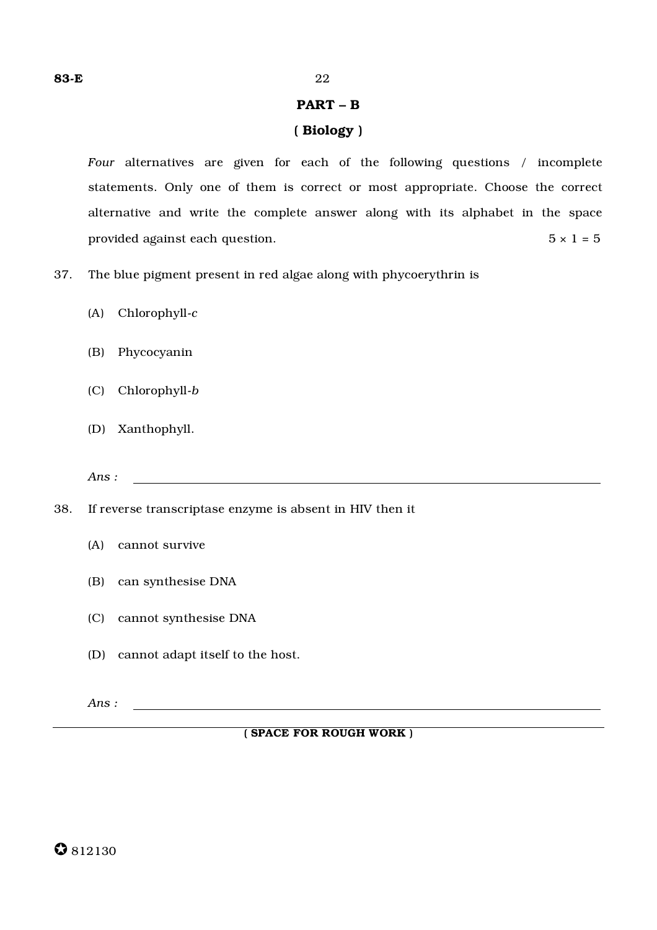## PART – B

# ( Biology )

*Four* alternatives are given for each of the following questions / incomplete statements. Only one of them is correct or most appropriate. Choose the correct alternative and write the complete answer along with its alphabet in the space provided against each question.  $5 \times 1 = 5$ 

- 37. The blue pigment present in red algae along with phycoerythrin is
	- (A) Chlorophyll-*c*
	- (B) Phycocyanin
	- (C) Chlorophyll-*b*
	- (D) Xanthophyll.

*Ans :*

- 38. If reverse transcriptase enzyme is absent in HIV then it
	- (A) cannot survive
	- (B) can synthesise DNA
	- (C) cannot synthesise DNA
	- (D) cannot adapt itself to the host.

*Ans :*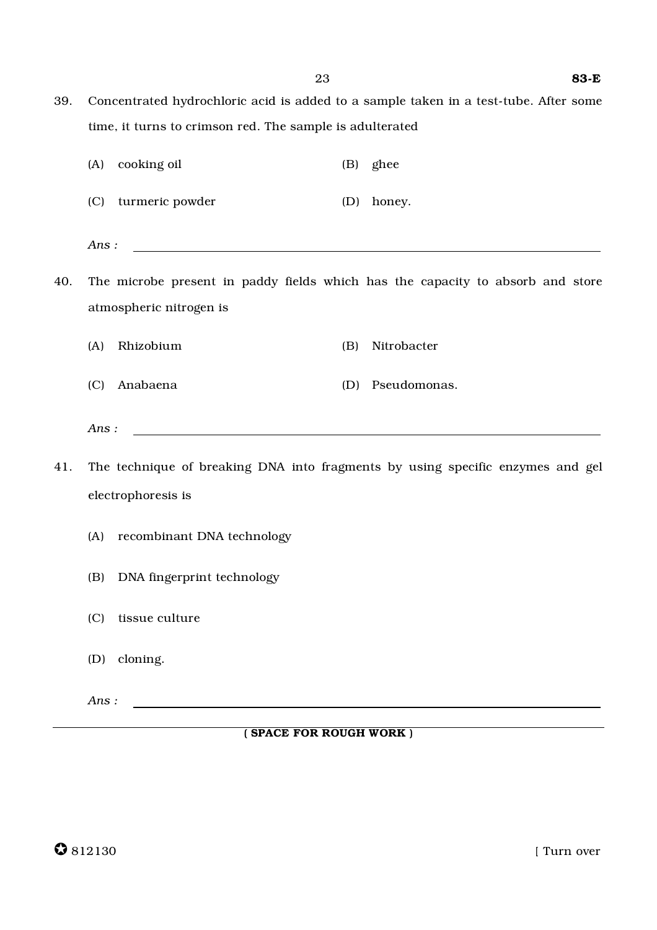39. Concentrated hydrochloric acid is added to a sample taken in a test-tube. After some time, it turns to crimson red. The sample is adulterated

|     | (A)  | cooking oil                                                                                                           |     | (B) ghee                                                                       |
|-----|------|-----------------------------------------------------------------------------------------------------------------------|-----|--------------------------------------------------------------------------------|
|     |      | (C) turmeric powder                                                                                                   | (D) | honey.                                                                         |
|     | Ans: |                                                                                                                       |     |                                                                                |
| 40. |      |                                                                                                                       |     | The microbe present in paddy fields which has the capacity to absorb and store |
|     |      | atmospheric nitrogen is                                                                                               |     |                                                                                |
|     | (A)  | Rhizobium                                                                                                             | (B) | Nitrobacter                                                                    |
|     | (C)  | Anabaena                                                                                                              |     | (D) Pseudomonas.                                                               |
|     | Ans: | <u> 1989 - Johann Barn, mars ann an t-Amhain an t-Amhain an t-Amhain an t-Amhain an t-Amhain an t-Amhain an t-Amh</u> |     |                                                                                |
| 41. |      |                                                                                                                       |     | The technique of breaking DNA into fragments by using specific enzymes and gel |
|     |      | electrophoresis is                                                                                                    |     |                                                                                |
|     | (A)  | recombinant DNA technology                                                                                            |     |                                                                                |
|     | (B)  | DNA fingerprint technology                                                                                            |     |                                                                                |
|     | (C)  | tissue culture                                                                                                        |     |                                                                                |
|     | (D)  | cloning.                                                                                                              |     |                                                                                |
|     | Ans: |                                                                                                                       |     |                                                                                |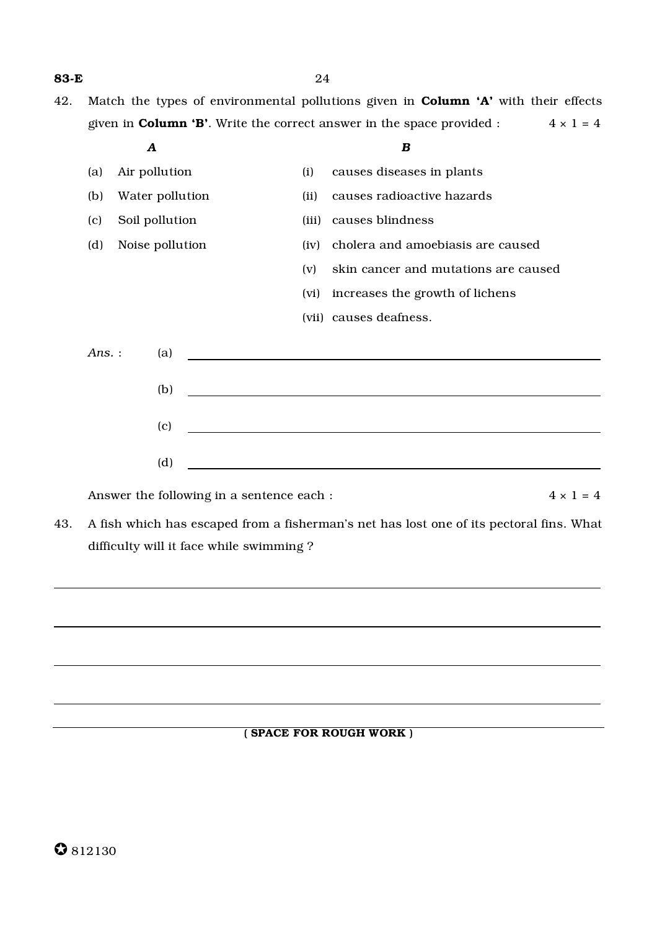- **83-E** 24
- 42. Match the types of environmental pollutions given in **Column 'A'** with their effects given in **Column 'B'**. Write the correct answer in the space provided :  $4 \times 1 = 4$ 
	- *A B* (a) Air pollution (i) causes diseases in plants (b) Water pollution (ii) causes radioactive hazards (c) Soil pollution (iii) causes blindness (d) Noise pollution (iv) cholera and amoebiasis are caused (v) skin cancer and mutations are caused (vi) increases the growth of lichens (vii) causes deafness. *Ans.* : (a) (b) (c) (d)

Answer the following in a sentence each :  $4 \times 1 = 4$ 

43. A fish which has escaped from a fisherman's net has lost one of its pectoral fins. What difficulty will it face while swimming ?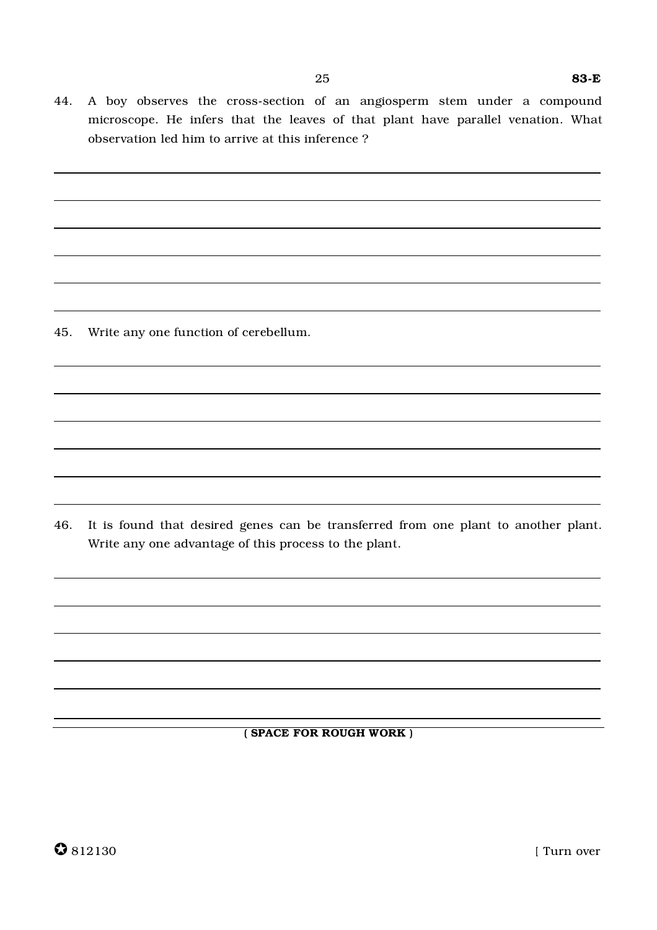44. A boy observes the cross-section of an angiosperm stem under a compound microscope. He infers that the leaves of that plant have parallel venation. What observation led him to arrive at this inference ?

45. Write any one function of cerebellum.

46. It is found that desired genes can be transferred from one plant to another plant. Write any one advantage of this process to the plant.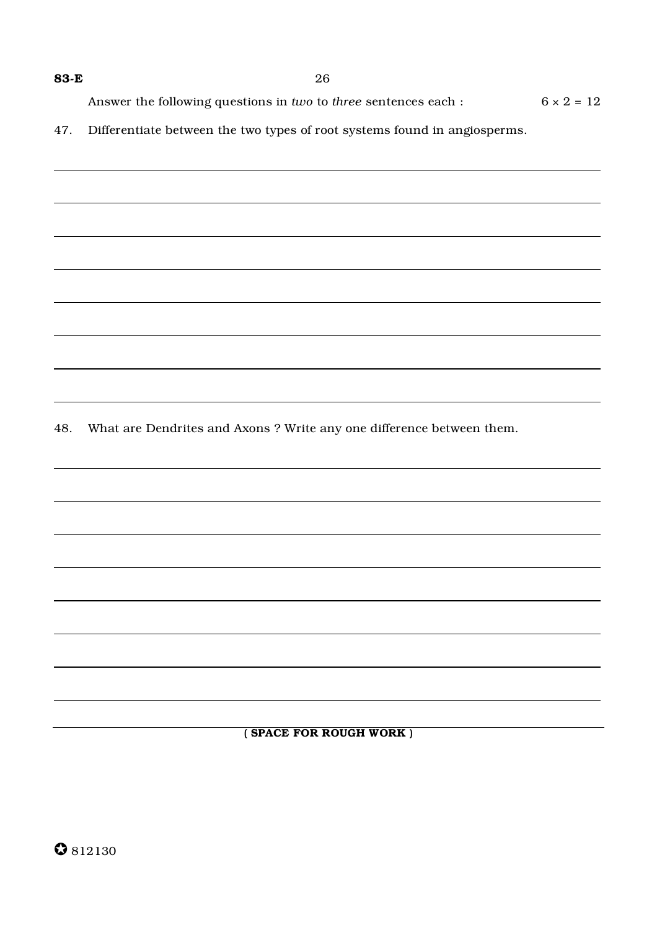Answer the following questions in *two* to *three* sentences each : 6 × 2 = 12

47. Differentiate between the two types of root systems found in angiosperms.

48. What are Dendrites and Axons ? Write any one difference between them.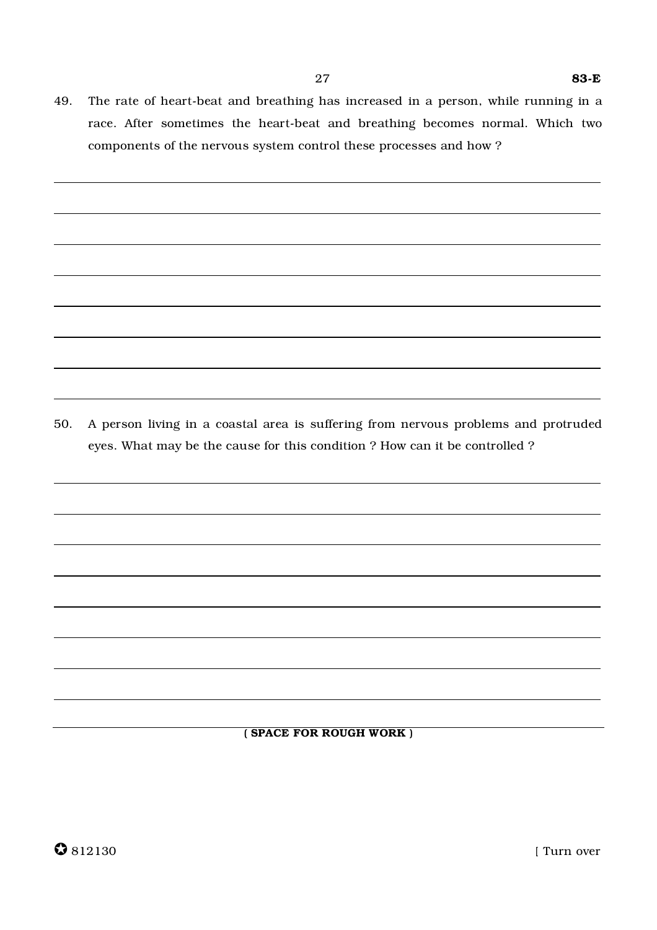49. The rate of heart-beat and breathing has increased in a person, while running in a race. After sometimes the heart-beat and breathing becomes normal. Which two components of the nervous system control these processes and how ?

50. A person living in a coastal area is suffering from nervous problems and protruded eyes. What may be the cause for this condition ? How can it be controlled ?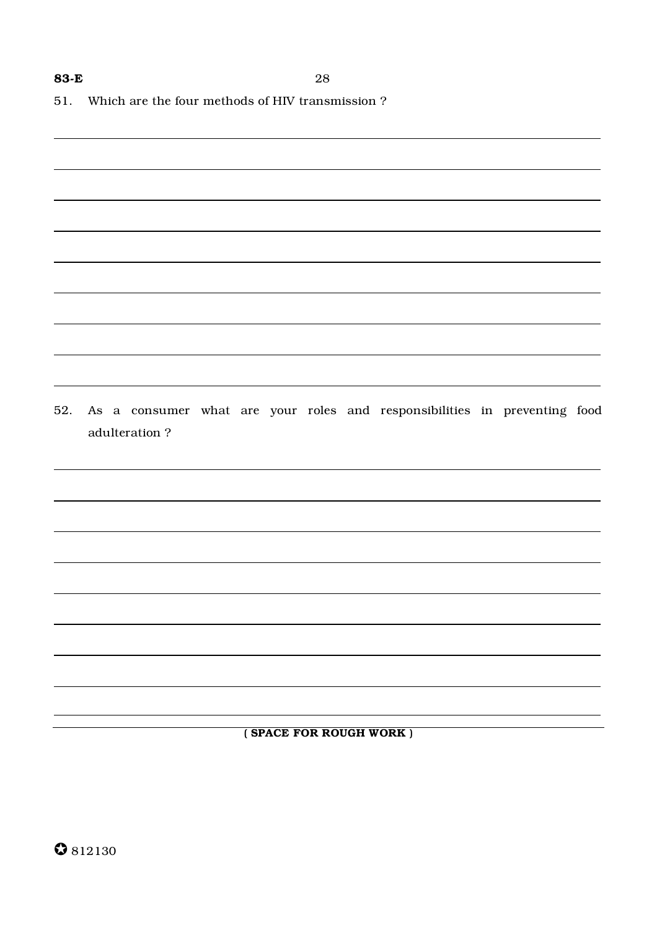51. Which are the four methods of HIV transmission?

52. As a consumer what are your roles and responsibilities in preventing food adulteration?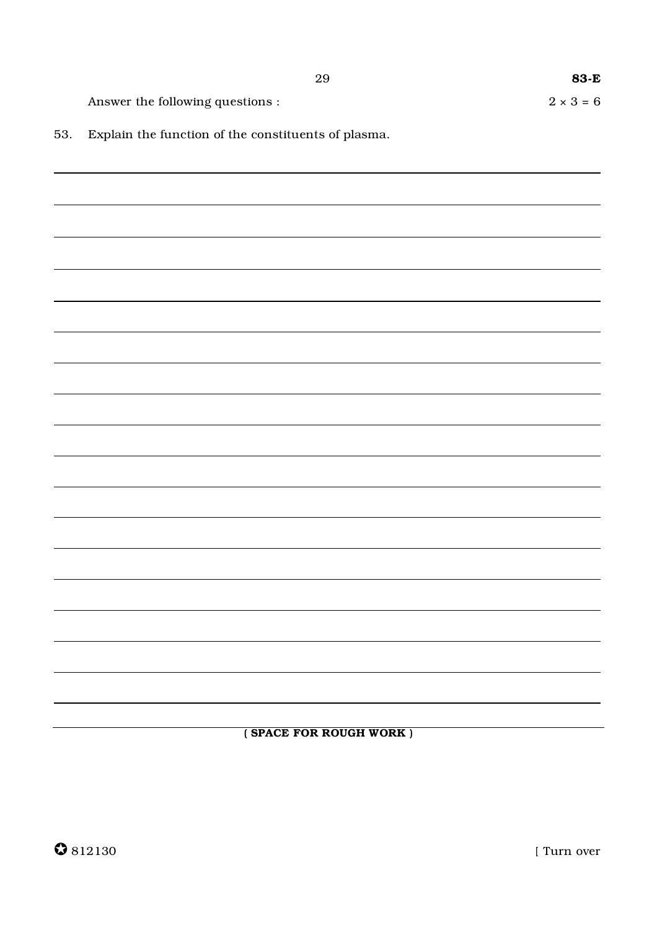$\overline{\phantom{a}}$ 

 $\overline{\phantom{0}}$ 

 $2 \times 3 = 6$ 

Answer the following questions :

53. Explain the function of the constituents of plasma.

(SPACE FOR ROUGH WORK)

|  | $\bullet$ 812130 |
|--|------------------|
|--|------------------|

[ Turn over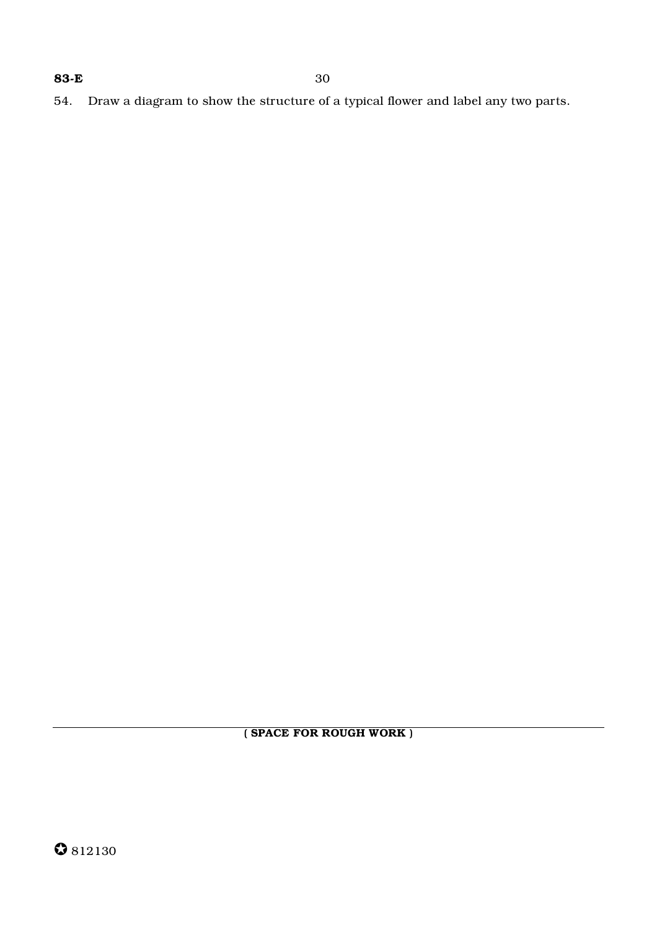54. Draw a diagram to show the structure of a typical flower and label any two parts.